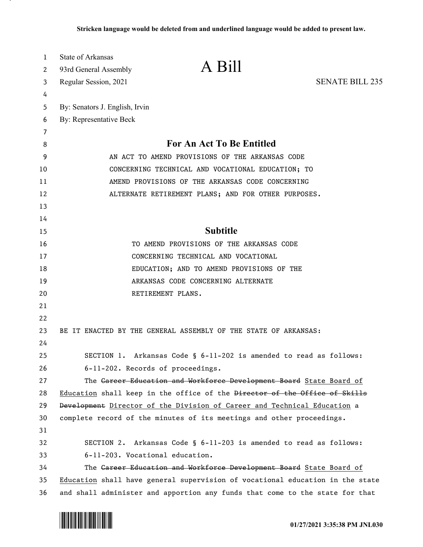| 1  | State of Arkansas              |                                                                               |                        |
|----|--------------------------------|-------------------------------------------------------------------------------|------------------------|
| 2  | 93rd General Assembly          | A Bill                                                                        |                        |
| 3  | Regular Session, 2021          |                                                                               | <b>SENATE BILL 235</b> |
| 4  |                                |                                                                               |                        |
| 5  | By: Senators J. English, Irvin |                                                                               |                        |
| 6  | By: Representative Beck        |                                                                               |                        |
| 7  |                                |                                                                               |                        |
| 8  |                                | <b>For An Act To Be Entitled</b>                                              |                        |
| 9  |                                | AN ACT TO AMEND PROVISIONS OF THE ARKANSAS CODE                               |                        |
| 10 |                                | CONCERNING TECHNICAL AND VOCATIONAL EDUCATION; TO                             |                        |
| 11 |                                | AMEND PROVISIONS OF THE ARKANSAS CODE CONCERNING                              |                        |
| 12 |                                | ALTERNATE RETIREMENT PLANS; AND FOR OTHER PURPOSES.                           |                        |
| 13 |                                |                                                                               |                        |
| 14 |                                |                                                                               |                        |
| 15 |                                | <b>Subtitle</b>                                                               |                        |
| 16 |                                | TO AMEND PROVISIONS OF THE ARKANSAS CODE                                      |                        |
| 17 |                                | CONCERNING TECHNICAL AND VOCATIONAL                                           |                        |
| 18 |                                | EDUCATION; AND TO AMEND PROVISIONS OF THE                                     |                        |
| 19 |                                | ARKANSAS CODE CONCERNING ALTERNATE                                            |                        |
| 20 |                                | RETIREMENT PLANS.                                                             |                        |
| 21 |                                |                                                                               |                        |
| 22 |                                |                                                                               |                        |
| 23 |                                | BE IT ENACTED BY THE GENERAL ASSEMBLY OF THE STATE OF ARKANSAS:               |                        |
| 24 |                                |                                                                               |                        |
| 25 |                                | SECTION 1. Arkansas Code § 6-11-202 is amended to read as follows:            |                        |
| 26 |                                | 6-11-202. Records of proceedings.                                             |                        |
| 27 |                                | The Gareer Education and Workforce Development Board State Board of           |                        |
| 28 |                                | Education shall keep in the office of the Director of the Office of Skills    |                        |
| 29 |                                | Development Director of the Division of Career and Technical Education a      |                        |
| 30 |                                | complete record of the minutes of its meetings and other proceedings.         |                        |
| 31 |                                |                                                                               |                        |
| 32 |                                | SECTION 2. Arkansas Code § 6-11-203 is amended to read as follows:            |                        |
| 33 |                                | 6-11-203. Vocational education.                                               |                        |
| 34 |                                | The Gareer Education and Workforce Development Board State Board of           |                        |
| 35 |                                | Education shall have general supervision of vocational education in the state |                        |
| 36 |                                | and shall administer and apportion any funds that come to the state for that  |                        |

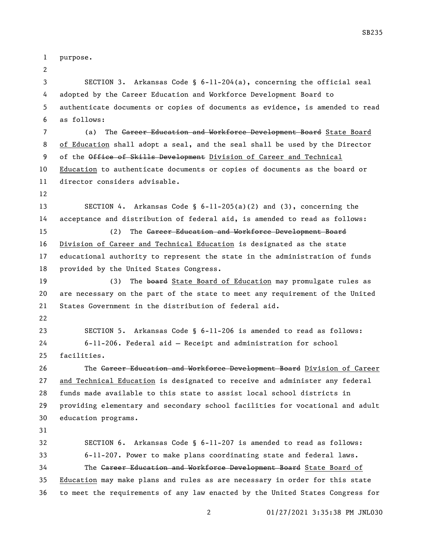purpose.

 SECTION 3. Arkansas Code § 6-11-204(a), concerning the official seal adopted by the Career Education and Workforce Development Board to authenticate documents or copies of documents as evidence, is amended to read as follows: 7 (a) The Career Education and Workforce Development Board State Board of Education shall adopt a seal, and the seal shall be used by the Director 9 of the Office of Skills Development Division of Career and Technical Education to authenticate documents or copies of documents as the board or director considers advisable. SECTION 4. Arkansas Code § 6-11-205(a)(2) and (3), concerning the acceptance and distribution of federal aid, is amended to read as follows: (2) The Career Education and Workforce Development Board Division of Career and Technical Education is designated as the state educational authority to represent the state in the administration of funds provided by the United States Congress. 19 (3) The board State Board of Education may promulgate rules as are necessary on the part of the state to meet any requirement of the United States Government in the distribution of federal aid. SECTION 5. Arkansas Code § 6-11-206 is amended to read as follows: 6-11-206. Federal aid — Receipt and administration for school facilities. 26 The Career Education and Workforce Development Board Division of Career and Technical Education is designated to receive and administer any federal funds made available to this state to assist local school districts in providing elementary and secondary school facilities for vocational and adult education programs. SECTION 6. Arkansas Code § 6-11-207 is amended to read as follows: 6-11-207. Power to make plans coordinating state and federal laws. 34 The Career Education and Workforce Development Board State Board of Education may make plans and rules as are necessary in order for this state to meet the requirements of any law enacted by the United States Congress for

01/27/2021 3:35:38 PM JNL030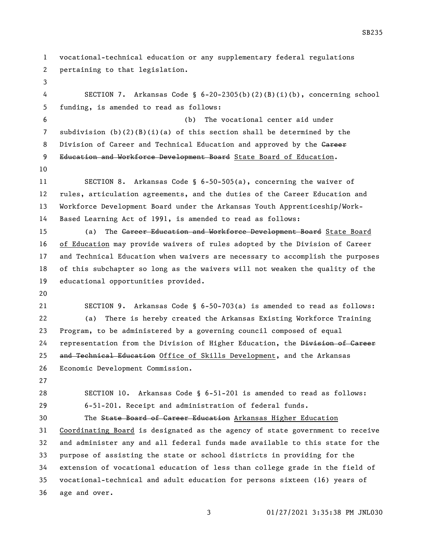vocational-technical education or any supplementary federal regulations pertaining to that legislation. SECTION 7. Arkansas Code § 6-20-2305(b)(2)(B)(i)(b), concerning school funding, is amended to read as follows: (b) The vocational center aid under 7 subdivision  $(b)(2)(B)(i)(a)$  of this section shall be determined by the 8 Division of Career and Technical Education and approved by the Gareer 9 Education and Workforce Development Board State Board of Education. SECTION 8. Arkansas Code § 6-50-505(a), concerning the waiver of rules, articulation agreements, and the duties of the Career Education and Workforce Development Board under the Arkansas Youth Apprenticeship/Work- Based Learning Act of 1991, is amended to read as follows: 15 (a) The Career Education and Workforce Development Board State Board of Education may provide waivers of rules adopted by the Division of Career and Technical Education when waivers are necessary to accomplish the purposes of this subchapter so long as the waivers will not weaken the quality of the educational opportunities provided. SECTION 9. Arkansas Code § 6-50-703(a) is amended to read as follows: (a) There is hereby created the Arkansas Existing Workforce Training Program, to be administered by a governing council composed of equal 24 representation from the Division of Higher Education, the Division of Career 25 and Technical Education Office of Skills Development, and the Arkansas Economic Development Commission. SECTION 10. Arkansas Code § 6-51-201 is amended to read as follows: 6-51-201. Receipt and administration of federal funds. The State Board of Career Education Arkansas Higher Education Coordinating Board is designated as the agency of state government to receive and administer any and all federal funds made available to this state for the purpose of assisting the state or school districts in providing for the extension of vocational education of less than college grade in the field of vocational-technical and adult education for persons sixteen (16) years of age and over.

SB235

01/27/2021 3:35:38 PM JNL030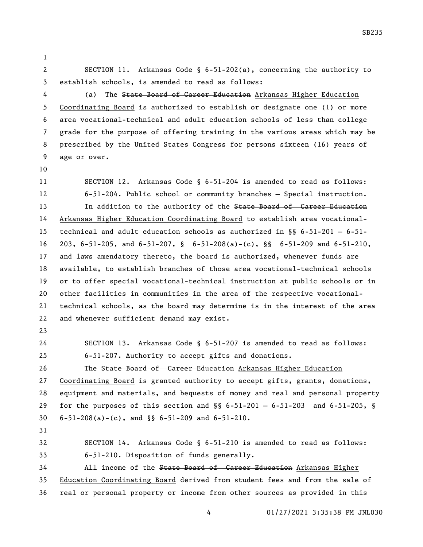SECTION 11. Arkansas Code § 6-51-202(a), concerning the authority to establish schools, is amended to read as follows:

4 (a) The State Board of Career Education Arkansas Higher Education Coordinating Board is authorized to establish or designate one (1) or more area vocational-technical and adult education schools of less than college grade for the purpose of offering training in the various areas which may be prescribed by the United States Congress for persons sixteen (16) years of age or over.

 SECTION 12. Arkansas Code § 6-51-204 is amended to read as follows: 6-51-204. Public school or community branches — Special instruction. 13 In addition to the authority of the State Board of Career Education Arkansas Higher Education Coordinating Board to establish area vocational- technical and adult education schools as authorized in §§ 6-51-201 — 6-51- 203, 6-51-205, and 6-51-207, § 6-51-208(a)-(c), §§ 6-51-209 and 6-51-210, and laws amendatory thereto, the board is authorized, whenever funds are available, to establish branches of those area vocational-technical schools or to offer special vocational-technical instruction at public schools or in other facilities in communities in the area of the respective vocational- technical schools, as the board may determine is in the interest of the area and whenever sufficient demand may exist.

 SECTION 13. Arkansas Code § 6-51-207 is amended to read as follows: 6-51-207. Authority to accept gifts and donations.

26 The State Board of Career Education Arkansas Higher Education Coordinating Board is granted authority to accept gifts, grants, donations, equipment and materials, and bequests of money and real and personal property for the purposes of this section and §§ 6-51-201 — 6-51-203 and 6-51-205, § 6-51-208(a)-(c), and §§ 6-51-209 and 6-51-210.

```
32 SECTION 14. Arkansas Code § 6-51-210 is amended to read as follows:
33 6-51-210. Disposition of funds generally.
```
34 All income of the State Board of Career Education Arkansas Higher Education Coordinating Board derived from student fees and from the sale of real or personal property or income from other sources as provided in this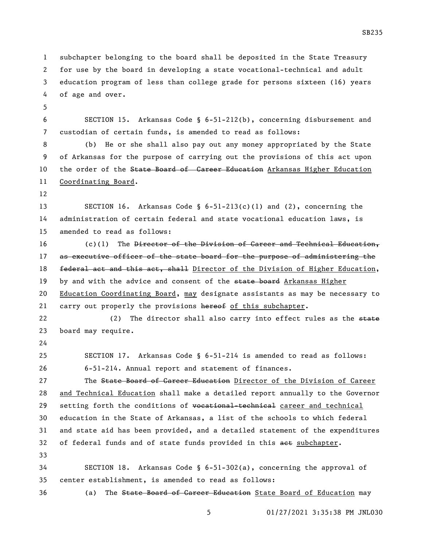subchapter belonging to the board shall be deposited in the State Treasury for use by the board in developing a state vocational-technical and adult education program of less than college grade for persons sixteen (16) years of age and over. SECTION 15. Arkansas Code § 6-51-212(b), concerning disbursement and custodian of certain funds, is amended to read as follows: (b) He or she shall also pay out any money appropriated by the State of Arkansas for the purpose of carrying out the provisions of this act upon 10 the order of the State Board of Career Education Arkansas Higher Education Coordinating Board. SECTION 16. Arkansas Code § 6-51-213(c)(1) and (2), concerning the administration of certain federal and state vocational education laws, is amended to read as follows: 16 (c)(1) The Director of the Division of Career and Technical Education, 17 as executive officer of the state board for the purpose of administering the 18 federal act and this act, shall Director of the Division of Higher Education, 19 by and with the advice and consent of the state board Arkansas Higher Education Coordinating Board, may designate assistants as may be necessary to 21 carry out properly the provisions hereof of this subchapter. 22 (2) The director shall also carry into effect rules as the state board may require. SECTION 17. Arkansas Code § 6-51-214 is amended to read as follows: 6-51-214. Annual report and statement of finances. 27 The State Board of Career Education Director of the Division of Career and Technical Education shall make a detailed report annually to the Governor 29 setting forth the conditions of vocational-technical career and technical education in the State of Arkansas, a list of the schools to which federal and state aid has been provided, and a detailed statement of the expenditures 32 of federal funds and of state funds provided in this aet subchapter. SECTION 18. Arkansas Code § 6-51-302(a), concerning the approval of center establishment, is amended to read as follows: 36 (a) The State Board of Career Education State Board of Education may

SB235

01/27/2021 3:35:38 PM JNL030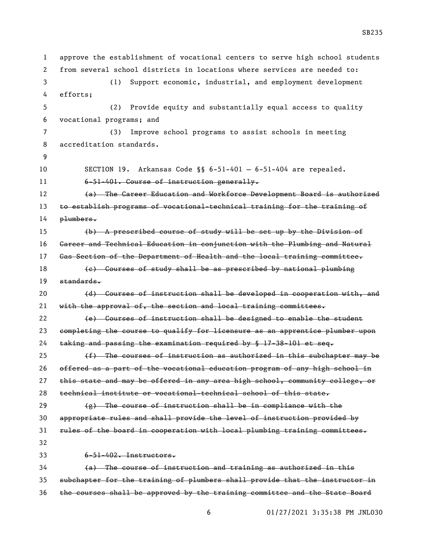approve the establishment of vocational centers to serve high school students from several school districts in locations where services are needed to: (1) Support economic, industrial, and employment development efforts; (2) Provide equity and substantially equal access to quality vocational programs; and (3) Improve school programs to assist schools in meeting accreditation standards. SECTION 19. Arkansas Code §§ 6-51-401 — 6-51-404 are repealed. 6-51-401. Course of instruction generally. (a) The Career Education and Workforce Development Board is authorized 13 to establish programs of vocational-technical training for the training of 14 <del>plumbers.</del> (b) A prescribed course of study will be set up by the Division of Career and Technical Education in conjunction with the Plumbing and Natural 17 Gas Section of the Department of Health and the local training committee. (e) Courses of study shall be as prescribed by national plumbing standards. 20 (d) Courses of instruction shall be developed in cooperation with, and with the approval of, the section and local training committees. 22 (e) Courses of instruction shall be designed to enable the student completing the course to qualify for licensure as an apprentice plumber upon taking and passing the examination required by § 17-38-101 et seq.  $(f)$  The courses of instruction as authorized in this subchapter may be offered as a part of the vocational education program of any high school in 27 this state and may be offered in any area high school, community college, or technical institute or vocational-technical school of this state.  $\left( e \right)$  The course of instruction shall be in compliance with the appropriate rules and shall provide the level of instruction provided by rules of the board in cooperation with local plumbing training committees. 6-51-402. Instructors. (a) The course of instruction and training as authorized in this subchapter for the training of plumbers shall provide that the instructor in the courses shall be approved by the training committee and the State Board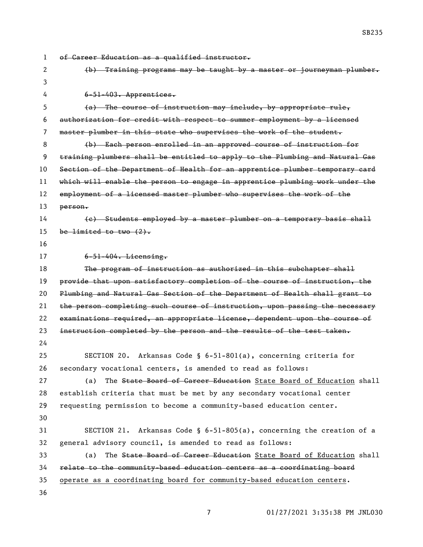of Career Education as a qualified instructor. (b) Training programs may be taught by a master or journeyman plumber. 6-51-403. Apprentices. (a) The course of instruction may include, by appropriate rule, authorization for credit with respect to summer employment by a licensed master plumber in this state who supervises the work of the student. (b) Each person enrolled in an approved course of instruction for training plumbers shall be entitled to apply to the Plumbing and Natural Gas Section of the Department of Health for an apprentice plumber temporary card which will enable the person to engage in apprentice plumbing work under the employment of a licensed master plumber who supervises the work of the person. (c) Students employed by a master plumber on a temporary basis shall 15 be limited to two  $(2)$ . 6-51-404. Licensing. 18 The program of instruction as authorized in this subchapter shall provide that upon satisfactory completion of the course of instruction, the Plumbing and Natural Gas Section of the Department of Health shall grant to the person completing such course of instruction, upon passing the necessary examinations required, an appropriate license, dependent upon the course of 23 instruction completed by the person and the results of the test taken. SECTION 20. Arkansas Code § 6-51-801(a), concerning criteria for secondary vocational centers, is amended to read as follows: 27 (a) The State Board of Career Education State Board of Education shall establish criteria that must be met by any secondary vocational center requesting permission to become a community-based education center. SECTION 21. Arkansas Code § 6-51-805(a), concerning the creation of a general advisory council, is amended to read as follows: 33 (a) The State Board of Career Education State Board of Education shall relate to the community-based education centers as a coordinating board operate as a coordinating board for community-based education centers.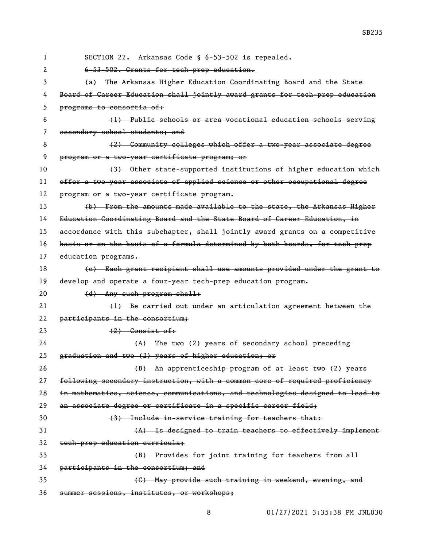| 1  | SECTION 22. Arkansas Code § 6-53-502 is repealed.                             |
|----|-------------------------------------------------------------------------------|
| 2  | 6-53-502. Grants for tech-prep education.                                     |
| 3  | (a) The Arkansas Higher Education Coordinating Board and the State            |
| 4  | Board of Career Education shall jointly award grants for tech prep education  |
| 5  | programs to consortia of:                                                     |
| 6  | (1) Public schools or area vocational education schools serving               |
| 7  | secondary school students; and                                                |
| 8  | (2) Community colleges which offer a two-year associate degree                |
| 9  | program or a two-year certificate program; or                                 |
| 10 | (3) Other state-supported institutions of higher education which              |
| 11 | offer a two-year associate of applied science or other occupational degree    |
| 12 | program or a two-year certificate program.                                    |
| 13 | (b) From the amounts made available to the state, the Arkansas Higher         |
| 14 | Education Coordinating Board and the State Board of Career Education, in      |
| 15 | accordance with this subchapter, shall jointly award grants on a competitive  |
| 16 | basis or on the basis of a formula determined by both boards, for tech prep   |
| 17 | education programs.                                                           |
| 18 | (e) Each grant recipient shall use amounts provided under the grant to        |
| 19 | develop and operate a four-year tech-prep education program.                  |
| 20 | (d) Any such program shall:                                                   |
| 21 | (1) Be carried out under an articulation agreement between the                |
| 22 | participants in the consortium;                                               |
| 23 | $(2)$ Consist of:                                                             |
| 24 | $(A)$ The two $(2)$ years of secondary school preceding                       |
| 25 | graduation and two (2) years of higher education; or                          |
| 26 | (B) An apprenticeship program of at least two (2) years                       |
| 27 | following secondary instruction, with a common core of required proficiency   |
| 28 | in mathematics, science, communications, and technologies designed to lead to |
| 29 | an associate degree or certificate in a specific career field;                |
| 30 | (3) Include in-service training for teachers that:                            |
| 31 | (A) Is designed to train teachers to effectively implement                    |
| 32 | tech-prep education curricula;                                                |
| 33 | (B) Provides for joint training for teachers from all                         |
| 34 | participants in the consortium; and                                           |
| 35 | (C) May provide such training in weekend, evening, and                        |
| 36 | summer sessions, institutes, or workshops;                                    |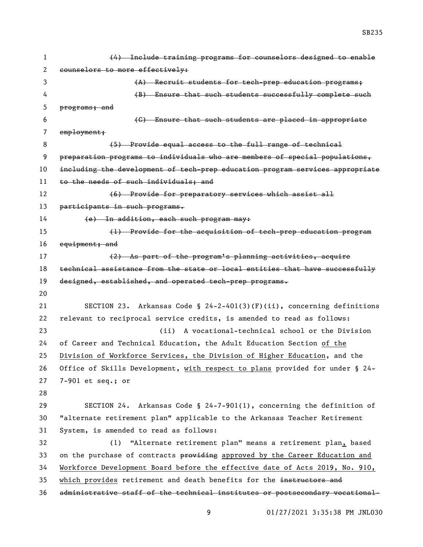| 1  | (4) Include training programs for counselors designed to enable                                                                                       |
|----|-------------------------------------------------------------------------------------------------------------------------------------------------------|
| 2  | counselors to more effectively:                                                                                                                       |
| 3  | (A) Recruit students for tech-prep education programs;                                                                                                |
| 4  | (B) Ensure that such students successfully complete such                                                                                              |
| 5  | programs; and                                                                                                                                         |
| 6  | (G) Ensure that such students are placed in appropriate                                                                                               |
| 7  | emplogment;                                                                                                                                           |
| 8  | (5) Provide equal access to the full range of technical                                                                                               |
| 9  | preparation programs to individuals who are members of special populations,                                                                           |
| 10 | including the development of tech-prep education program services appropriate                                                                         |
| 11 | to the needs of such individuals; and                                                                                                                 |
| 12 | (6) Provide for preparatory services which assist all                                                                                                 |
| 13 | participants in such programs.                                                                                                                        |
| 14 | (e) In addition, each such program may:                                                                                                               |
| 15 | (1) Provide for the acquisition of tech-prep education program                                                                                        |
| 16 | equipment; and                                                                                                                                        |
| 17 | (2) As part of the program's planning activities, acquire                                                                                             |
| 18 | technical assistance from the state or local entities that have successfully                                                                          |
|    |                                                                                                                                                       |
| 19 | designed, established, and operated tech-prep programs.                                                                                               |
| 20 |                                                                                                                                                       |
| 21 | Arkansas Code § $24-2-401(3)$ (F)(ii), concerning definitions<br>SECTION 23.                                                                          |
| 22 | relevant to reciprocal service credits, is amended to read as follows:                                                                                |
| 23 | A vocational-technical school or the Division<br>(ii)                                                                                                 |
| 24 | of Career and Technical Education, the Adult Education Section of the                                                                                 |
| 25 | Division of Workforce Services, the Division of Higher Education, and the                                                                             |
| 26 | Office of Skills Development, with respect to plans provided for under § 24-                                                                          |
| 27 | 7-901 et seq.; or                                                                                                                                     |
| 28 |                                                                                                                                                       |
| 29 | SECTION 24. Arkansas Code § 24-7-901(1), concerning the definition of                                                                                 |
| 30 | "alternate retirement plan" applicable to the Arkansas Teacher Retirement                                                                             |
| 31 | System, is amended to read as follows:                                                                                                                |
| 32 | (1) "Alternate retirement plan" means a retirement plan, based                                                                                        |
| 33 | on the purchase of contracts providing approved by the Career Education and                                                                           |
| 34 | Workforce Development Board before the effective date of Acts 2019, No. 910,                                                                          |
| 35 | which provides retirement and death benefits for the instructors and<br>administrative staff of the technical institutes or postsecondary vocational- |